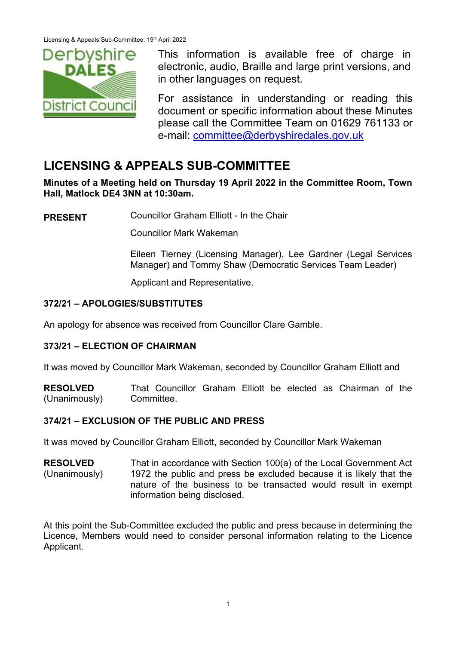

This information is available free of charge in electronic, audio, Braille and large print versions, and in other languages on request.

For assistance in understanding or reading this document or specific information about these Minutes please call the Committee Team on 01629 761133 or e-mail: [committee@derbyshiredales.gov.uk](mailto:committee@derbyshiredales.gov.uk)

# **LICENSING & APPEALS SUB-COMMITTEE**

**Minutes of a Meeting held on Thursday 19 April 2022 in the Committee Room, Town Hall, Matlock DE4 3NN at 10:30am.** 

**PRESENT** Councillor Graham Elliott - In the Chair

Councillor Mark Wakeman

Eileen Tierney (Licensing Manager), Lee Gardner (Legal Services Manager) and Tommy Shaw (Democratic Services Team Leader)

Applicant and Representative.

# **372/21 – APOLOGIES/SUBSTITUTES**

An apology for absence was received from Councillor Clare Gamble.

# **373/21 – ELECTION OF CHAIRMAN**

It was moved by Councillor Mark Wakeman, seconded by Councillor Graham Elliott and

**RESOLVED** (Unanimously) That Councillor Graham Elliott be elected as Chairman of the Committee.

# **374/21 – EXCLUSION OF THE PUBLIC AND PRESS**

It was moved by Councillor Graham Elliott, seconded by Councillor Mark Wakeman

**RESOLVED** (Unanimously) That in accordance with Section 100(a) of the Local Government Act 1972 the public and press be excluded because it is likely that the nature of the business to be transacted would result in exempt information being disclosed.

At this point the Sub-Committee excluded the public and press because in determining the Licence, Members would need to consider personal information relating to the Licence Applicant.